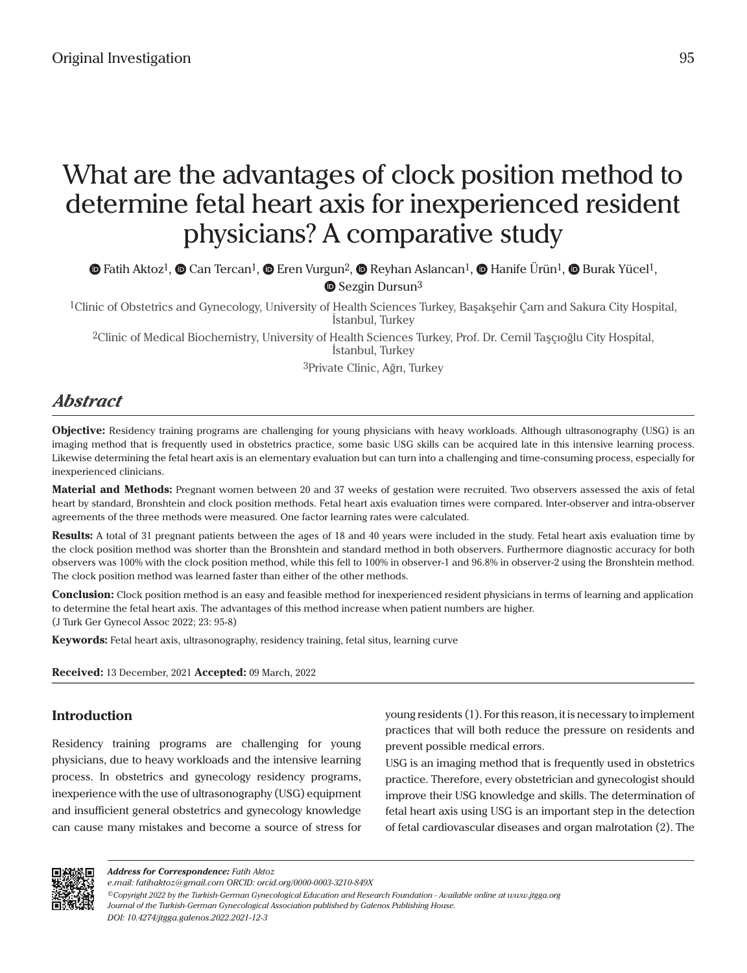# What are the advantages of clock position method to determine fetal heart axis for inexperienced resident physicians? A comparative study

 $\bullet$ Fatih Aktoz<sup>1</sup>,  $\bullet$  [C](https://orcid.org/0000-0003-1325-6294)an Tercan<sup>1</sup>,  $\bullet$  Eren Vurgun<sup>2</sup>,  $\bullet$  Reyhan Aslancan<sup>1</sup>,  $\bullet$  Hanife Ürün<sup>1</sup>,  $\bullet$  Burak Yücel<sup>1</sup>, **■**Sezgin Dursun<sup>3</sup>

1Clinic of Obstetrics and Gynecology, University of Health Sciences Turkey, Başakşehir Çam and Sakura City Hospital, İstanbul, Turkey

2Clinic of Medical Biochemistry, University of Health Sciences Turkey, Prof. Dr. Cemil Taşçıoğlu City Hospital, İstanbul, Turkey

3Private Clinic, Ağrı, Turkey

# *Abstract*

**Objective:** Residency training programs are challenging for young physicians with heavy workloads. Although ultrasonography (USG) is an imaging method that is frequently used in obstetrics practice, some basic USG skills can be acquired late in this intensive learning process. Likewise determining the fetal heart axis is an elementary evaluation but can turn into a challenging and time-consuming process, especially for inexperienced clinicians.

**Material and Methods:** Pregnant women between 20 and 37 weeks of gestation were recruited. Two observers assessed the axis of fetal heart by standard, Bronshtein and clock position methods. Fetal heart axis evaluation times were compared. Inter-observer and intra-observer agreements of the three methods were measured. One factor learning rates were calculated.

**Results:** A total of 31 pregnant patients between the ages of 18 and 40 years were included in the study. Fetal heart axis evaluation time by the clock position method was shorter than the Bronshtein and standard method in both observers. Furthermore diagnostic accuracy for both observers was 100% with the clock position method, while this fell to 100% in observer-1 and 96.8% in observer-2 using the Bronshtein method. The clock position method was learned faster than either of the other methods.

**Conclusion:** Clock position method is an easy and feasible method for inexperienced resident physicians in terms of learning and application to determine the fetal heart axis. The advantages of this method increase when patient numbers are higher. (J Turk Ger Gynecol Assoc 2022; 23: 95-8)

**Keywords:** Fetal heart axis, ultrasonography, residency training, fetal situs, learning curve

**Received:** 13 December, 2021 **Accepted:** 09 March, 2022

# **Introduction**

Residency training programs are challenging for young physicians, due to heavy workloads and the intensive learning process. In obstetrics and gynecology residency programs, inexperience with the use of ultrasonography (USG) equipment and insufficient general obstetrics and gynecology knowledge can cause many mistakes and become a source of stress for

young residents (1). For this reason, it is necessary to implement practices that will both reduce the pressure on residents and prevent possible medical errors.

USG is an imaging method that is frequently used in obstetrics practice. Therefore, every obstetrician and gynecologist should improve their USG knowledge and skills. The determination of fetal heart axis using USG is an important step in the detection of fetal cardiovascular diseases and organ malrotation (2). The



*e.mail: fatihaktoz@gmail.com ORCID: orcid.org/0000-0003-3210-849X*

*<sup>©</sup>Copyright 2022 by the Turkish-German Gynecological Education and Research Foundation - Available online at www.jtgga.org Journal of the Turkish-German Gynecological Association published by Galenos Publishing House. DOI: 10.4274/jtgga.galenos.2022.2021-12-3*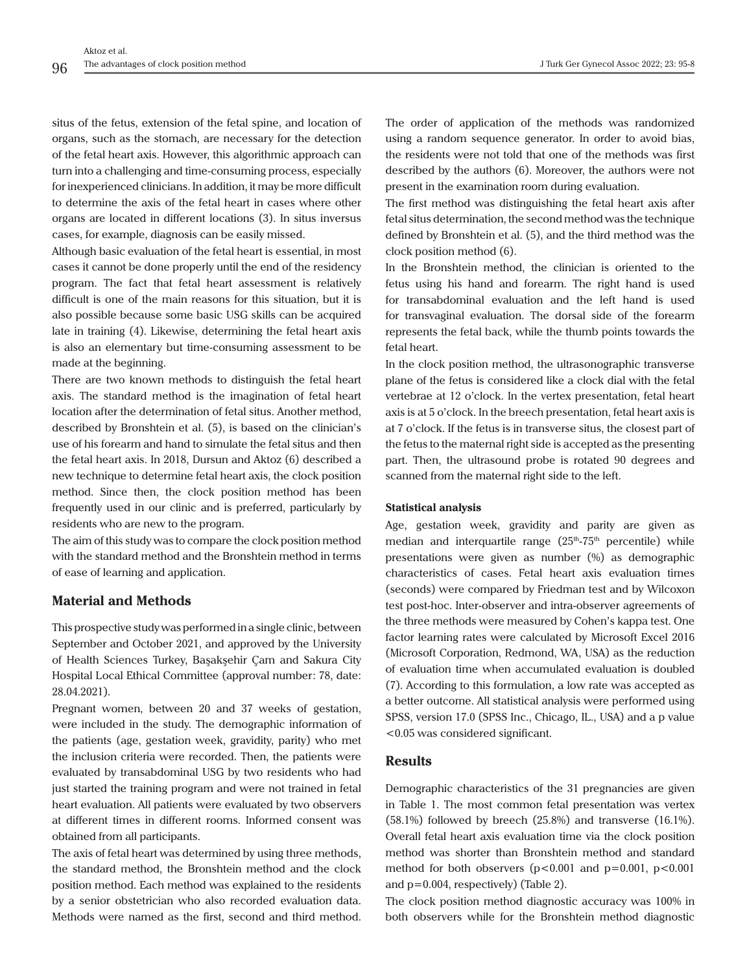situs of the fetus, extension of the fetal spine, and location of organs, such as the stomach, are necessary for the detection of the fetal heart axis. However, this algorithmic approach can turn into a challenging and time-consuming process, especially for inexperienced clinicians. In addition, it may be more difficult to determine the axis of the fetal heart in cases where other organs are located in different locations (3). In situs inversus

cases, for example, diagnosis can be easily missed.

Although basic evaluation of the fetal heart is essential, in most cases it cannot be done properly until the end of the residency program. The fact that fetal heart assessment is relatively difficult is one of the main reasons for this situation, but it is also possible because some basic USG skills can be acquired late in training (4). Likewise, determining the fetal heart axis is also an elementary but time-consuming assessment to be made at the beginning.

There are two known methods to distinguish the fetal heart axis. The standard method is the imagination of fetal heart location after the determination of fetal situs. Another method, described by Bronshtein et al. (5), is based on the clinician's use of his forearm and hand to simulate the fetal situs and then the fetal heart axis. In 2018, Dursun and Aktoz (6) described a new technique to determine fetal heart axis, the clock position method. Since then, the clock position method has been frequently used in our clinic and is preferred, particularly by residents who are new to the program.

The aim of this study was to compare the clock position method with the standard method and the Bronshtein method in terms of ease of learning and application.

# **Material and Methods**

This prospective study was performed in a single clinic, between September and October 2021, and approved by the University of Health Sciences Turkey, Başakşehir Çam and Sakura City Hospital Local Ethical Committee (approval number: 78, date: 28.04.2021).

Pregnant women, between 20 and 37 weeks of gestation, were included in the study. The demographic information of the patients (age, gestation week, gravidity, parity) who met the inclusion criteria were recorded. Then, the patients were evaluated by transabdominal USG by two residents who had just started the training program and were not trained in fetal heart evaluation. All patients were evaluated by two observers at different times in different rooms. Informed consent was obtained from all participants.

The axis of fetal heart was determined by using three methods, the standard method, the Bronshtein method and the clock position method. Each method was explained to the residents by a senior obstetrician who also recorded evaluation data. Methods were named as the first, second and third method.

The order of application of the methods was randomized using a random sequence generator. In order to avoid bias, the residents were not told that one of the methods was first described by the authors (6). Moreover, the authors were not present in the examination room during evaluation.

The first method was distinguishing the fetal heart axis after fetal situs determination, the second method was the technique defined by Bronshtein et al. (5), and the third method was the clock position method (6).

In the Bronshtein method, the clinician is oriented to the fetus using his hand and forearm. The right hand is used for transabdominal evaluation and the left hand is used for transvaginal evaluation. The dorsal side of the forearm represents the fetal back, while the thumb points towards the fetal heart.

In the clock position method, the ultrasonographic transverse plane of the fetus is considered like a clock dial with the fetal vertebrae at 12 o'clock. In the vertex presentation, fetal heart axis is at 5 o'clock. In the breech presentation, fetal heart axis is at 7 o'clock. If the fetus is in transverse situs, the closest part of the fetus to the maternal right side is accepted as the presenting part. Then, the ultrasound probe is rotated 90 degrees and scanned from the maternal right side to the left.

#### **Statistical analysis**

Age, gestation week, gravidity and parity are given as median and interquartile range  $(25<sup>th</sup>-75<sup>th</sup>$  percentile) while presentations were given as number (%) as demographic characteristics of cases. Fetal heart axis evaluation times (seconds) were compared by Friedman test and by Wilcoxon test post-hoc. Inter-observer and intra-observer agreements of the three methods were measured by Cohen's kappa test. One factor learning rates were calculated by Microsoft Excel 2016 (Microsoft Corporation, Redmond, WA, USA) as the reduction of evaluation time when accumulated evaluation is doubled (7). According to this formulation, a low rate was accepted as a better outcome. All statistical analysis were performed using SPSS, version 17.0 (SPSS Inc., Chicago, IL., USA) and a p value <0.05 was considered significant.

# **Results**

Demographic characteristics of the 31 pregnancies are given in Table 1. The most common fetal presentation was vertex  $(58.1\%)$  followed by breech  $(25.8\%)$  and transverse  $(16.1\%)$ . Overall fetal heart axis evaluation time via the clock position method was shorter than Bronshtein method and standard method for both observers  $(p<0.001$  and  $p=0.001$ ,  $p<0.001$ and p=0.004, respectively) (Table 2).

The clock position method diagnostic accuracy was 100% in both observers while for the Bronshtein method diagnostic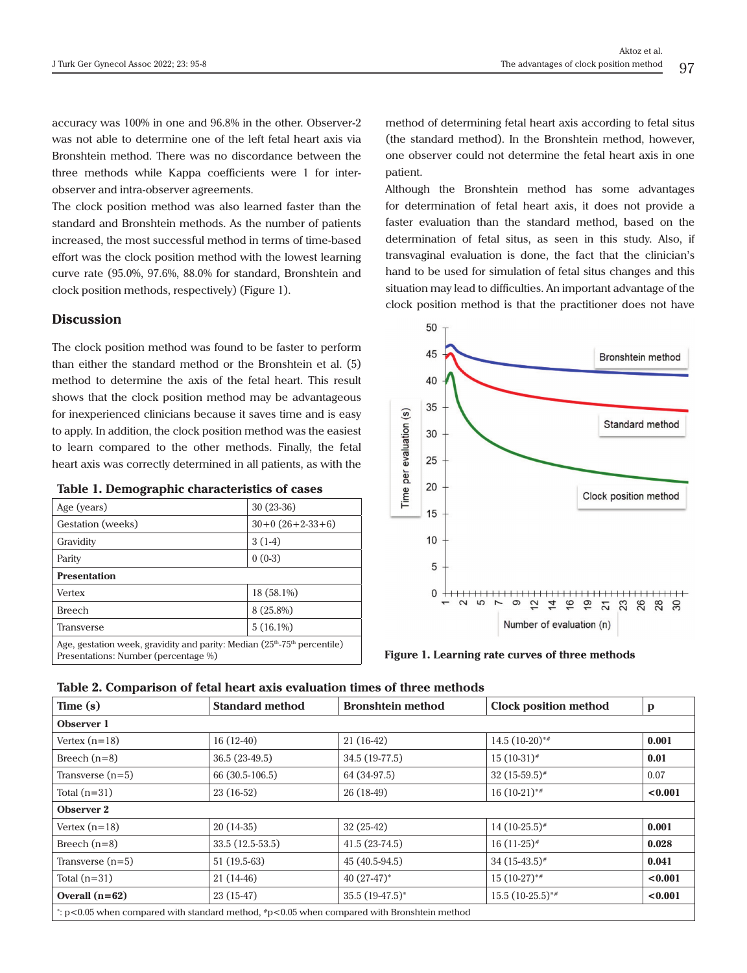accuracy was 100% in one and 96.8% in the other. Observer-2 was not able to determine one of the left fetal heart axis via Bronshtein method. There was no discordance between the three methods while Kappa coefficients were 1 for interobserver and intra-observer agreements.

The clock position method was also learned faster than the standard and Bronshtein methods. As the number of patients increased, the most successful method in terms of time-based effort was the clock position method with the lowest learning curve rate (95.0%, 97.6%, 88.0% for standard, Bronshtein and clock position methods, respectively) (Figure 1).

## **Discussion**

The clock position method was found to be faster to perform than either the standard method or the Bronshtein et al. (5) method to determine the axis of the fetal heart. This result shows that the clock position method may be advantageous for inexperienced clinicians because it saves time and is easy to apply. In addition, the clock position method was the easiest to learn compared to the other methods. Finally, the fetal heart axis was correctly determined in all patients, as with the

|  | Table 1. Demographic characteristics of cases |  |
|--|-----------------------------------------------|--|
|  |                                               |  |

| Age (years)                                                                                                        | $30(23-36)$       |  |  |  |
|--------------------------------------------------------------------------------------------------------------------|-------------------|--|--|--|
| Gestation (weeks)                                                                                                  | $30+0(26+2-33+6)$ |  |  |  |
| Gravidity                                                                                                          | $3(1-4)$          |  |  |  |
| Parity                                                                                                             | $0(0-3)$          |  |  |  |
| <b>Presentation</b>                                                                                                |                   |  |  |  |
| Vertex                                                                                                             | 18 (58.1%)        |  |  |  |
| <b>Breech</b>                                                                                                      | 8 (25.8%)         |  |  |  |
| Transverse                                                                                                         | $5(16.1\%)$       |  |  |  |
| Age, gestation week, gravidity and parity: Median $(25th-75th$ percentile)<br>Presentations: Number (percentage %) |                   |  |  |  |

method of determining fetal heart axis according to fetal situs (the standard method). In the Bronshtein method, however, one observer could not determine the fetal heart axis in one patient.

Although the Bronshtein method has some advantages for determination of fetal heart axis, it does not provide a faster evaluation than the standard method, based on the determination of fetal situs, as seen in this study. Also, if transvaginal evaluation is done, the fact that the clinician's hand to be used for simulation of fetal situs changes and this situation may lead to difficulties. An important advantage of the clock position method is that the practitioner does not have



**Figure 1. Learning rate curves of three methods** 

| Table 2. Comparison of fetal heart axis evaluation times of three methods |  |  |  |  |  |  |  |
|---------------------------------------------------------------------------|--|--|--|--|--|--|--|
|---------------------------------------------------------------------------|--|--|--|--|--|--|--|

| Time(s)            | <b>Standard method</b>                                                                             | <b>Bronshtein method</b> | <b>Clock position method</b> | p       |
|--------------------|----------------------------------------------------------------------------------------------------|--------------------------|------------------------------|---------|
| Observer 1         |                                                                                                    |                          |                              |         |
| Vertex $(n=18)$    | $16(12-40)$                                                                                        | $21(16-42)$              | $14.5(10-20)*$               | 0.001   |
| Breech $(n=8)$     | 36.5 (23-49.5)                                                                                     | 34.5 (19-77.5)           | $15(10-31)^{*}$              | 0.01    |
| Transverse $(n=5)$ | 66 (30.5-106.5)                                                                                    | 64 (34-97.5)             | $32(15-59.5)^{*}$            | 0.07    |
| Total $(n=31)$     | 23 (16-52)                                                                                         | $26(18-49)$              | $16(10-21)$ **               | < 0.001 |
| Observer 2         |                                                                                                    |                          |                              |         |
| Vertex $(n=18)$    | $20(14-35)$                                                                                        | $32(25-42)$              | $14(10-25.5)^{*}$            | 0.001   |
| Breech $(n=8)$     | $33.5(12.5-53.5)$                                                                                  | $41.5(23-74.5)$          | $16(11-25)$ <sup>#</sup>     | 0.028   |
| Transverse $(n=5)$ | 51 (19.5-63)                                                                                       | 45 (40.5-94.5)           | $34(15-43.5)^{*}$            | 0.041   |
| Total $(n=31)$     | $21(14-46)$                                                                                        | $40(27-47)$ *            | $15(10-27)$ **               | < 0.001 |
| Overall $(n=62)$   | $23(15-47)$                                                                                        | $35.5(19-47.5)^*$        | $15.5(10-25.5)$ **           | < 0.001 |
|                    | : $p < 0.05$ when compared with standard method, $\#p < 0.05$ when compared with Bronshtein method |                          |                              |         |